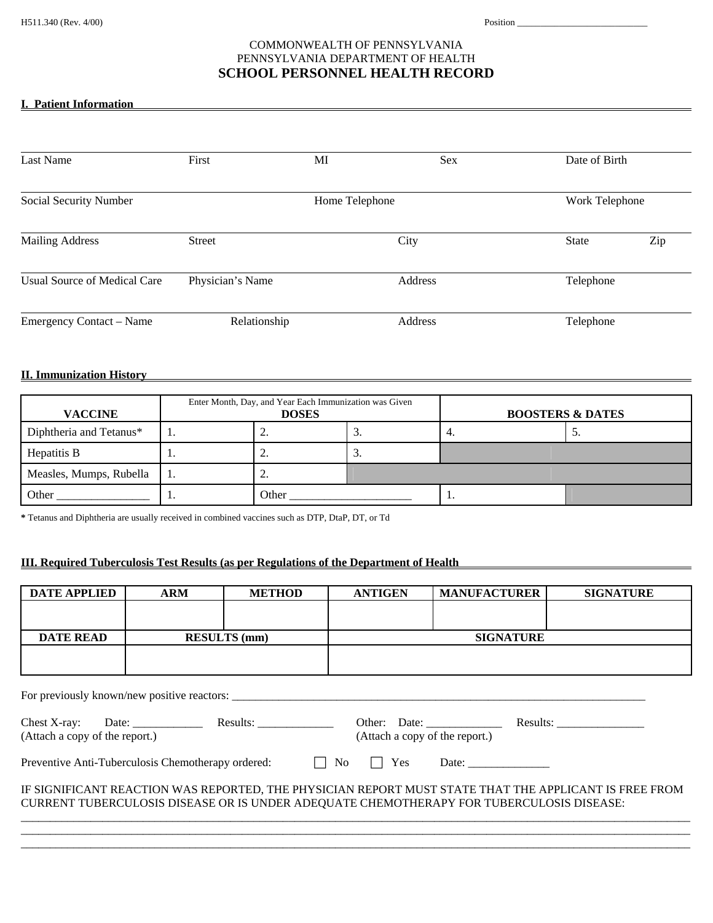## COMMONWEALTH OF PENNSYLVANIA PENNSYLVANIA DEPARTMENT OF HEALTH **SCHOOL PERSONNEL HEALTH RECORD**

### **I. Patient Information**

| <b>Last Name</b>                    | First            | MI             | <b>Sex</b> | Date of Birth  |     |
|-------------------------------------|------------------|----------------|------------|----------------|-----|
| Social Security Number              |                  | Home Telephone |            | Work Telephone |     |
| <b>Mailing Address</b>              | <b>Street</b>    |                | City       | <b>State</b>   | Zip |
| <b>Usual Source of Medical Care</b> | Physician's Name |                | Address    | Telephone      |     |
| Emergency Contact – Name            | Relationship     |                | Address    | Telephone      |     |

#### **II. Immunization History**

| <b>VACCINE</b>          | Enter Month, Day, and Year Each Immunization was Given<br><b>DOSES</b> |          |     | <b>BOOSTERS &amp; DATES</b> |  |
|-------------------------|------------------------------------------------------------------------|----------|-----|-----------------------------|--|
| Diphtheria and Tetanus* | <u>.</u>                                                               | J.       | 4.  | ◡.                          |  |
| Hepatitis B             | <u>.</u>                                                               | <u>.</u> |     |                             |  |
| Measles, Mumps, Rubella | <u>.</u>                                                               |          |     |                             |  |
| Other                   | Other                                                                  |          | . . |                             |  |

**\*** Tetanus and Diphtheria are usually received in combined vaccines such as DTP, DtaP, DT, or Td

# **III. Required Tuberculosis Test Results (as per Regulations of the Department of Health**

| <b>DATE APPLIED</b>                                                                                   | <b>ARM</b>          | <b>METHOD</b> | <b>ANTIGEN</b>   | <b>MANUFACTURER</b> | <b>SIGNATURE</b> |  |  |
|-------------------------------------------------------------------------------------------------------|---------------------|---------------|------------------|---------------------|------------------|--|--|
|                                                                                                       |                     |               |                  |                     |                  |  |  |
|                                                                                                       |                     |               |                  |                     |                  |  |  |
| <b>DATE READ</b>                                                                                      | <b>RESULTS</b> (mm) |               | <b>SIGNATURE</b> |                     |                  |  |  |
|                                                                                                       |                     |               |                  |                     |                  |  |  |
|                                                                                                       |                     |               |                  |                     |                  |  |  |
|                                                                                                       |                     |               |                  |                     |                  |  |  |
| For previously known/new positive reactors:                                                           |                     |               |                  |                     |                  |  |  |
|                                                                                                       |                     |               |                  |                     |                  |  |  |
|                                                                                                       |                     |               |                  |                     |                  |  |  |
| (Attach a copy of the report.)<br>(Attach a copy of the report.)                                      |                     |               |                  |                     |                  |  |  |
|                                                                                                       |                     |               |                  |                     |                  |  |  |
| Preventive Anti-Tuberculosis Chemotherapy ordered: $\Box$ No $\Box$ Yes Date:                         |                     |               |                  |                     |                  |  |  |
|                                                                                                       |                     |               |                  |                     |                  |  |  |
| IF SIGNIFICANT REACTION WAS REPORTED, THE PHYSICIAN REPORT MUST STATE THAT THE APPLICANT IS FREE FROM |                     |               |                  |                     |                  |  |  |
| CURRENT TUBERCULOSIS DISEASE OR IS UNDER ADEQUATE CHEMOTHERAPY FOR TUBERCULOSIS DISEASE:              |                     |               |                  |                     |                  |  |  |
|                                                                                                       |                     |               |                  |                     |                  |  |  |
|                                                                                                       |                     |               |                  |                     |                  |  |  |
|                                                                                                       |                     |               |                  |                     |                  |  |  |